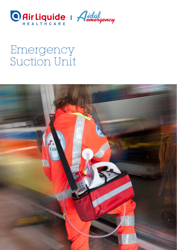

# Emergency Suction Unit

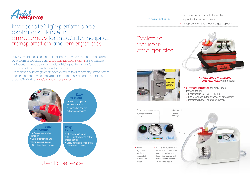

### immediate high-performance aspirator suitable in ambulances for intra/inter-hospital transportation and emergencies.

• endotracheal and bronchial aspiration • aspiration for tracheostomies • nasopharyngeal and oropharyngeal aspiration



# carrying case with reflector

## User Experience

Intended use

AIDAL Emergency suction unit has been fully developed and designed by a team of specialists at Air Liquide Medical Systems. It is a reliable high-performance aspirator made of high-quality materials to ensure robustness and extended lifetime. Great care has been given in each detail so to allow an aspiration easily accessible and to meet the various requirements of health operators, especially during transfers and emergencies. **• • Perforced waterproof** • **• Reinforced waterproof** • **•** *Reinforced waterproof* 



• Easy-to-read vacuum gauge **Convenient** vacuum • Illuminated On/Off setting dial button Aidal Green LED • 3 LEDs (green, yellow, red) lights when show battery charge status device is and when battery is almost connected flat an alarm sounds and to electricity device must be connected to supply an electricity supply

#### • Support bracket for ambulance

#### transportation:

- Resistant up to 15G (EN 1789)
- Easily released in the event of an emergency
- Integrated battery charging function



### Designed for use in emergencies